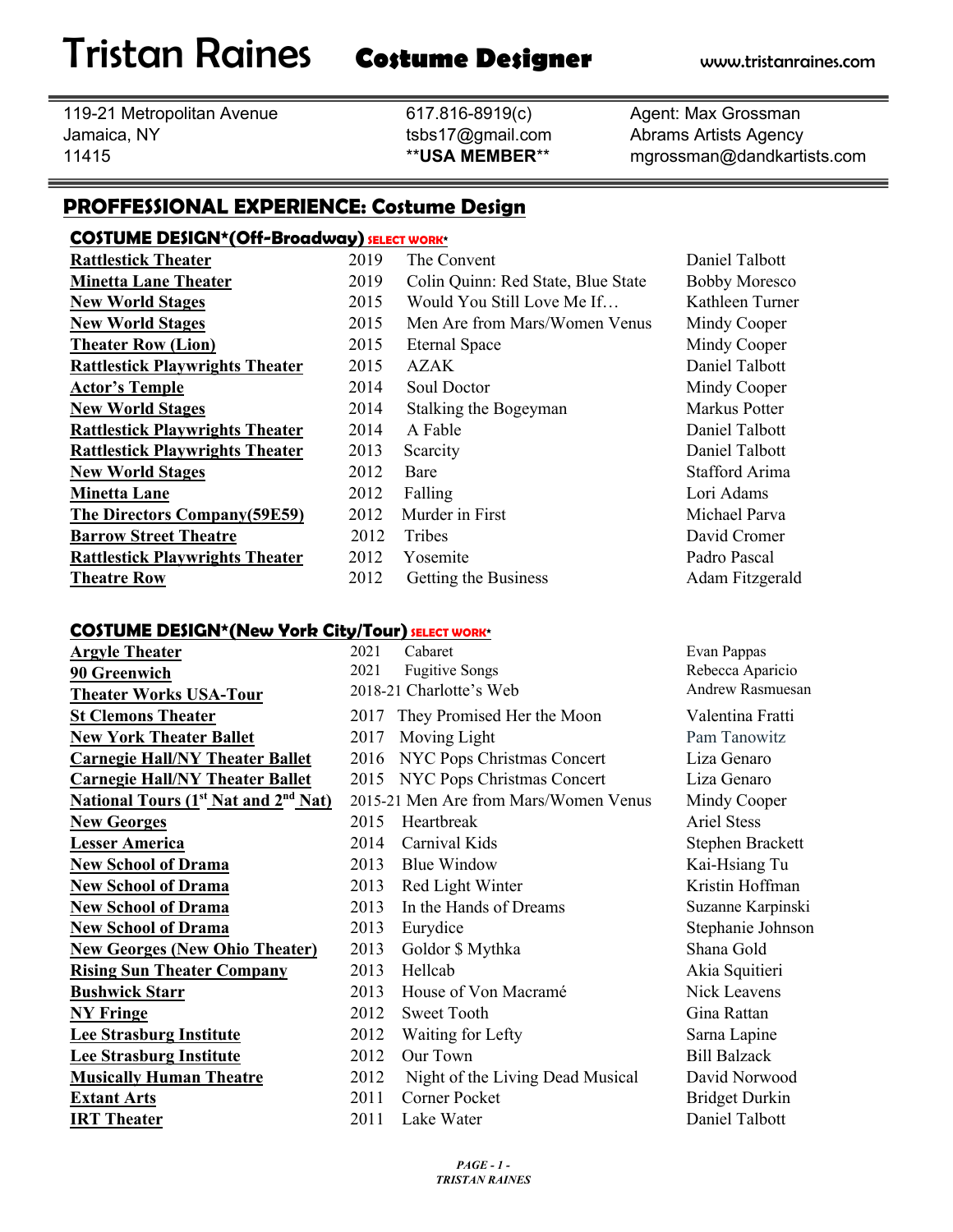Tristan Raines **Costume Designer** www.tristanraines.com

119-21 Metropolitan Avenue 617.816-8919(c) Agent: Max Grossman Jamaica, NY tsbs17@gmail.com Abrams Artists Agency

11415 \*\***USA MEMBER**\*\* mgrossman@dandkartists.com

# **PROFFESSIONAL EXPERIENCE: Costume Design**

#### **COSTUME DESIGN\*(Off-Broadway) SELECT WORK\***

**Theatre Row** 2012 Getting the Business

**Rattlestick Theater** 2019 The Convent 2019 Daniel Talbott **Minetta Lane Theater** 2019 Colin Quinn: Red State, Blue State Bobby Moresco **New World Stages** 2015 Would You Still Love Me If… Kathleen Turner **New World Stages** 2015 Men Are from Mars/Women Venus Mindy Cooper **Theater Row (Lion)** 2015 Eternal Space Mindy Cooper **Rattlestick Playwrights Theater**2015 AZAK Daniel Talbott **Actor's Temple** 2014 Soul Doctor Mindy Cooper **New World Stages** 2014 Stalking the Bogeyman Markus Potter **Rattlestick Playwrights Theater** 2014 A Fable 2014 **Daniel Talbott Rattlestick Playwrights Theater** 2013 Scarcity **Daniel Talbott** Daniel Talbott **New World Stages** 2012 Bare Stafford Arima **Minetta Lane** 2012 Falling 2012 **Falling** Lori Adams **The Directors Company(59E59)** 2012 Murder in First Michael Parva **Barrow Street Theatre** 2012 Tribes David Cromer **Rattlestick Playwrights Theater** 2012 Yosemite Padro Pascal

Adam Fitzgerald

### **COSTUME DESIGN\*(New York City/Tour) SELECT WORK\***

| <b>Argyle Theater</b>                  | 20               |
|----------------------------------------|------------------|
| 90 Greenwich                           | 20               |
| <b>Theater Works USA-Tour</b>          | 2 <sup>0</sup>   |
| <b>St Clemons Theater</b>              | 2(               |
| <b>New York Theater Ballet</b>         | 2(               |
| <b>Carnegie Hall/NY Theater Ballet</b> | $\overline{2}$ ( |
| <b>Carnegie Hall/NY Theater Ballet</b> | 20               |
| National Tours $(1st Nat and 2nd Nat)$ | 20               |
| <b>New Georges</b>                     | 2(               |
| <b>Lesser America</b>                  | 2(               |
| <b>New School of Drama</b>             | 2(               |
| <b>New School of Drama</b>             | $\overline{2}$ ( |
| <b>New School of Drama</b>             | 2(               |
| <b>New School of Drama</b>             | 2(               |
| <b>New Georges (New Ohio Theater)</b>  | $\overline{2}$ ( |
| <b>Rising Sun Theater Company</b>      | 2(               |
| <b>Bushwick Starr</b>                  | 2(               |
| <b>NY Fringe</b>                       | 2(               |
| <b>Lee Strasburg Institute</b>         | $\overline{2}$ ( |
| <b>Lee Strasburg Institute</b>         | 2(               |
| <b>Musically Human Theatre</b>         | 20               |
| <b>Extant Arts</b>                     | 2(               |
| <b>IRT</b> Theater                     | $\overline{2}$   |

| <u> External Device (1988–1988–1988) i San Julian Work</u> |      |                                       |                       |
|------------------------------------------------------------|------|---------------------------------------|-----------------------|
| <b>Argyle Theater</b>                                      | 2021 | Cabaret                               | Evan Pappas           |
| 90 Greenwich                                               | 2021 | <b>Fugitive Songs</b>                 | Rebecca Aparicio      |
| <b>Theater Works USA-Tour</b>                              |      | 2018-21 Charlotte's Web               | Andrew Rasmuesan      |
| <b>St Clemons Theater</b>                                  | 2017 | They Promised Her the Moon            | Valentina Fratti      |
| <b>New York Theater Ballet</b>                             | 2017 | Moving Light                          | Pam Tanowitz          |
| <b>Carnegie Hall/NY Theater Ballet</b>                     | 2016 | NYC Pops Christmas Concert            | Liza Genaro           |
| <b>Carnegie Hall/NY Theater Ballet</b>                     | 2015 | NYC Pops Christmas Concert            | Liza Genaro           |
| <b>National Tours (1st Nat and 2<sup>nd</sup> Nat)</b>     |      | 2015-21 Men Are from Mars/Women Venus | Mindy Cooper          |
| <b>New Georges</b>                                         | 2015 | Heartbreak                            | <b>Ariel Stess</b>    |
| <b>Lesser America</b>                                      | 2014 | Carnival Kids                         | Stephen Brackett      |
| <b>New School of Drama</b>                                 | 2013 | <b>Blue Window</b>                    | Kai-Hsiang Tu         |
| <b>New School of Drama</b>                                 | 2013 | Red Light Winter                      | Kristin Hoffman       |
| <b>New School of Drama</b>                                 | 2013 | In the Hands of Dreams                | Suzanne Karpinski     |
| <b>New School of Drama</b>                                 | 2013 | Eurydice                              | Stephanie Johnson     |
| <b>New Georges (New Ohio Theater)</b>                      | 2013 | Goldor \$ Mythka                      | Shana Gold            |
| <b>Rising Sun Theater Company</b>                          | 2013 | Hellcab                               | Akia Squitieri        |
| <b>Bushwick Starr</b>                                      | 2013 | House of Von Macramé                  | Nick Leavens          |
| <b>NY Fringe</b>                                           | 2012 | <b>Sweet Tooth</b>                    | Gina Rattan           |
| <b>Lee Strasburg Institute</b>                             | 2012 | Waiting for Lefty                     | Sarna Lapine          |
| <b>Lee Strasburg Institute</b>                             | 2012 | Our Town                              | <b>Bill Balzack</b>   |
| <b>Musically Human Theatre</b>                             | 2012 | Night of the Living Dead Musical      | David Norwood         |
| <b>Extant Arts</b>                                         | 2011 | Corner Pocket                         | <b>Bridget Durkin</b> |
| <b>IRT</b> Theater                                         | 2011 | Lake Water                            | Daniel Talbott        |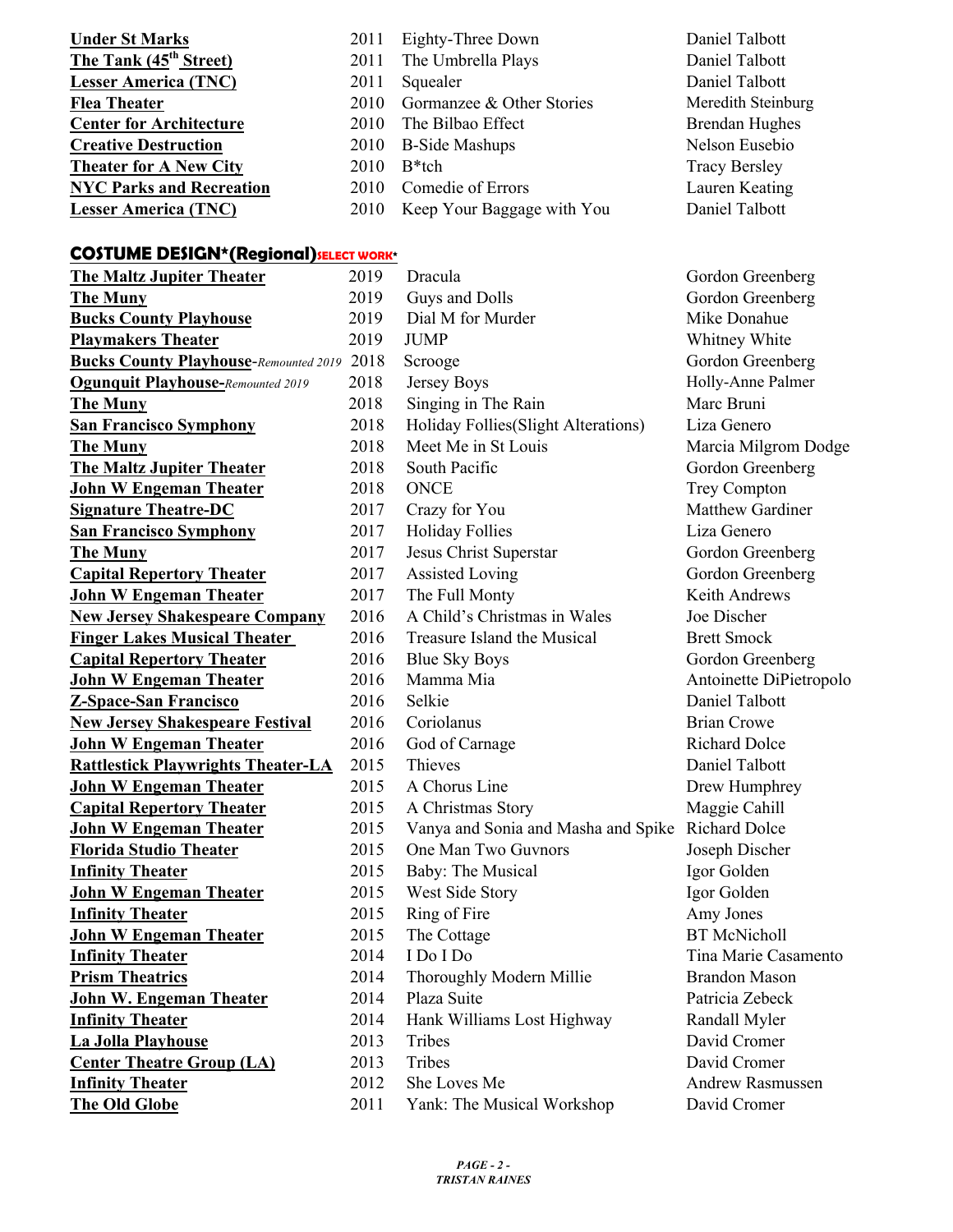| <b>Under St Marks</b>              | 2011 | Eighty-Three Down          | Daniel Talbott        |
|------------------------------------|------|----------------------------|-----------------------|
| The Tank (45 <sup>th</sup> Street) | 2011 | The Umbrella Plays         | Daniel Talbott        |
| <b>Lesser America (TNC)</b>        | 2011 | Squealer                   | Daniel Talbott        |
| <b>Flea Theater</b>                | 2010 | Gormanzee & Other Stories  | Meredith Steinburg    |
| <b>Center for Architecture</b>     | 2010 | The Bilbao Effect          | <b>Brendan Hughes</b> |
| <b>Creative Destruction</b>        | 2010 | <b>B-Side Mashups</b>      | Nelson Eusebio        |
| <b>Theater for A New City</b>      | 2010 | $B^*$ tch                  | <b>Tracy Bersley</b>  |
| <b>NYC Parks and Recreation</b>    | 2010 | Comedie of Errors          | Lauren Keating        |
| <b>Lesser America (TNC)</b>        | 2010 | Keep Your Baggage with You | Daniel Talbott        |

# **COSTUME DESIGN\*(Regional) SELECT WORK\***

| <b>The Maltz Jupiter Theater</b>                  | 2019 | Dracula                                           | Gordon Greenberg        |
|---------------------------------------------------|------|---------------------------------------------------|-------------------------|
| <b>The Muny</b>                                   | 2019 | Guys and Dolls                                    | Gordon Greenberg        |
| <b>Bucks County Playhouse</b>                     | 2019 | Dial M for Murder                                 | Mike Donahue            |
| <b>Playmakers Theater</b>                         | 2019 | <b>JUMP</b>                                       | Whitney White           |
| <b>Bucks County Playhouse-Remounted 2019 2018</b> |      | Scrooge                                           | Gordon Greenberg        |
| <b>Ogunquit Playhouse-Remounted 2019</b>          | 2018 | Jersey Boys                                       | Holly-Anne Palmer       |
| <b>The Muny</b>                                   | 2018 | Singing in The Rain                               | Marc Bruni              |
| <b>San Francisco Symphony</b>                     | 2018 | Holiday Follies (Slight Alterations)              | Liza Genero             |
| <b>The Muny</b>                                   | 2018 | Meet Me in St Louis                               | Marcia Milgrom Dodge    |
| <b>The Maltz Jupiter Theater</b>                  | 2018 | South Pacific                                     | Gordon Greenberg        |
| John W Engeman Theater                            | 2018 | <b>ONCE</b>                                       | <b>Trey Compton</b>     |
| <b>Signature Theatre-DC</b>                       | 2017 | Crazy for You                                     | Matthew Gardiner        |
| <b>San Francisco Symphony</b>                     | 2017 | <b>Holiday Follies</b>                            | Liza Genero             |
| <b>The Muny</b>                                   | 2017 | Jesus Christ Superstar                            | Gordon Greenberg        |
| <b>Capital Repertory Theater</b>                  | 2017 | <b>Assisted Loving</b>                            | Gordon Greenberg        |
| John W Engeman Theater                            | 2017 | The Full Monty                                    | Keith Andrews           |
| <b>New Jersey Shakespeare Company</b>             | 2016 | A Child's Christmas in Wales                      | Joe Discher             |
| <b>Finger Lakes Musical Theater</b>               | 2016 | Treasure Island the Musical                       | <b>Brett Smock</b>      |
| <b>Capital Repertory Theater</b>                  | 2016 | <b>Blue Sky Boys</b>                              | Gordon Greenberg        |
| <u>John W Engeman Theater</u>                     | 2016 | Mamma Mia                                         | Antoinette DiPietropolo |
| <b>Z-Space-San Francisco</b>                      | 2016 | Selkie                                            | Daniel Talbott          |
| <b>New Jersey Shakespeare Festival</b>            | 2016 | Coriolanus                                        | <b>Brian Crowe</b>      |
| <u> John W Engeman Theater</u>                    | 2016 | God of Carnage                                    | <b>Richard Dolce</b>    |
| <b>Rattlestick Playwrights Theater-LA</b>         | 2015 | Thieves                                           | Daniel Talbott          |
| <u> John W Engeman Theater</u>                    | 2015 | A Chorus Line                                     | Drew Humphrey           |
| <b>Capital Repertory Theater</b>                  | 2015 | A Christmas Story                                 | Maggie Cahill           |
| <u>John W Engeman Theater</u>                     | 2015 | Vanya and Sonia and Masha and Spike Richard Dolce |                         |
| Florida Studio Theater                            | 2015 | One Man Two Guvnors                               | Joseph Discher          |
| <b>Infinity Theater</b>                           | 2015 | Baby: The Musical                                 | Igor Golden             |
| <u>John W Engeman Theater</u>                     | 2015 | West Side Story                                   | Igor Golden             |
| <b>Infinity Theater</b>                           | 2015 | Ring of Fire                                      | Amy Jones               |
| <u> John W Engeman Theater</u>                    | 2015 | The Cottage                                       | <b>BT</b> McNicholl     |
| <b>Infinity Theater</b>                           | 2014 | I Do I Do                                         | Tina Marie Casamento    |
| <b>Prism Theatrics</b>                            | 2014 | Thoroughly Modern Millie                          | <b>Brandon Mason</b>    |
| John W. Engeman Theater                           | 2014 | Plaza Suite                                       | Patricia Zebeck         |
| <b>Infinity Theater</b>                           | 2014 | Hank Williams Lost Highway                        | Randall Myler           |
| La Jolla Playhouse                                | 2013 | Tribes                                            | David Cromer            |
| <b>Center Theatre Group (LA)</b>                  | 2013 | Tribes                                            | David Cromer            |
| <b>Infinity Theater</b>                           | 2012 | She Loves Me                                      | Andrew Rasmussen        |
| <b>The Old Globe</b>                              | 2011 | Yank: The Musical Workshop                        | David Cromer            |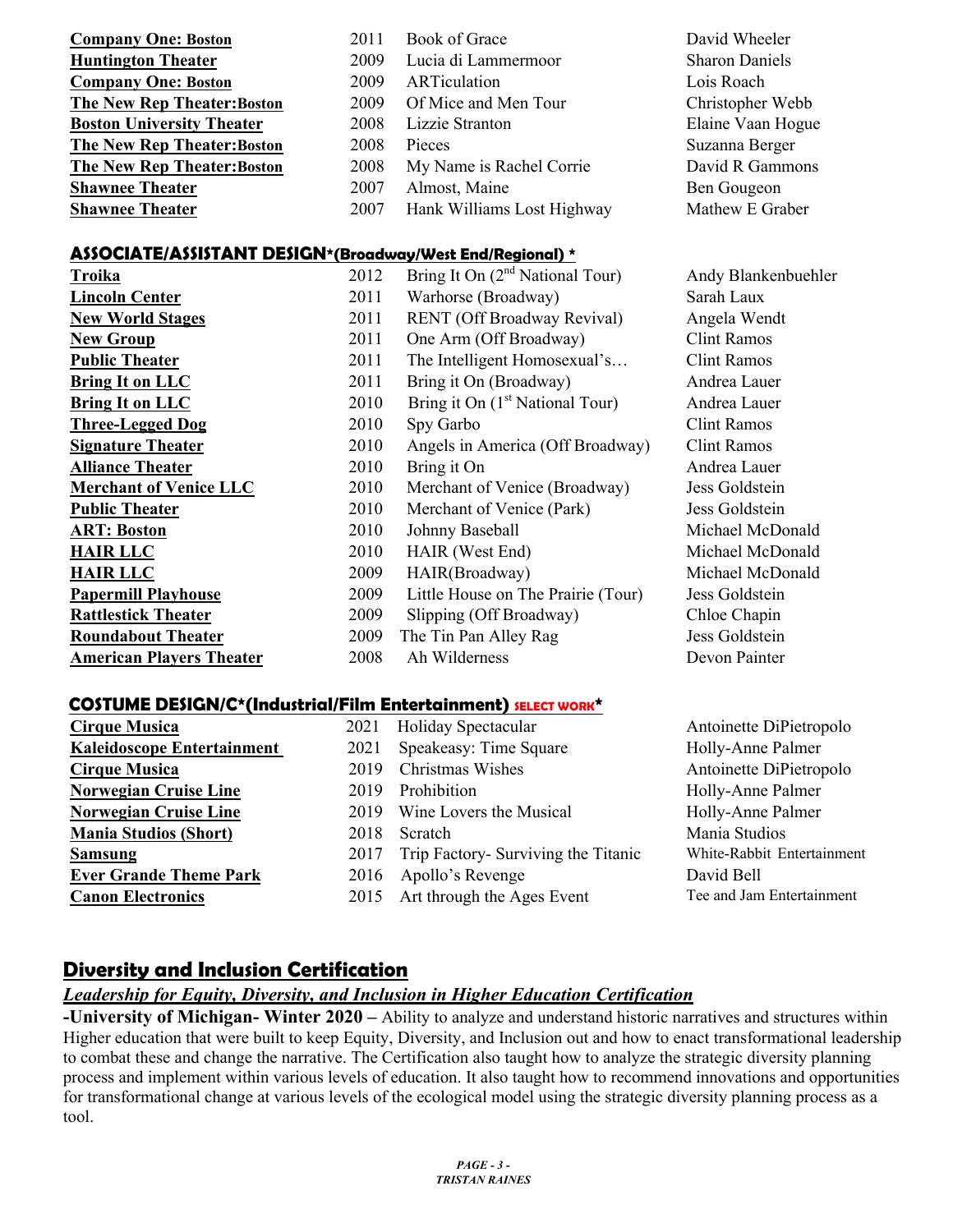| <b>Company One: Boston</b>       | 2011 | Book of Grace              | David Wheeler         |
|----------------------------------|------|----------------------------|-----------------------|
| <b>Huntington Theater</b>        | 2009 | Lucia di Lammermoor        | <b>Sharon Daniels</b> |
| <b>Company One: Boston</b>       | 2009 | ARTiculation               | Lois Roach            |
| The New Rep Theater: Boston      | 2009 | Of Mice and Men Tour       | Christopher Webb      |
| <b>Boston University Theater</b> | 2008 | Lizzie Stranton            | Elaine Vaan Hogue     |
| The New Rep Theater: Boston      | 2008 | Pieces                     | Suzanna Berger        |
| The New Rep Theater: Boston      | 2008 | My Name is Rachel Corrie   | David R Gammons       |
| <b>Shawnee Theater</b>           | 2007 | Almost, Maine              | Ben Gougeon           |
| <b>Shawnee Theater</b>           | 2007 | Hank Williams Lost Highway | Mathew E Graber       |

## **ASSOCIATE/ASSISTANT DESIGN\*(Broadway/West End/Regional) \***

| AJJULIA I E/AJJIJ I ANT I DEJIUN"(Broadway/west End/Regional) " |      |                                             |                     |
|-----------------------------------------------------------------|------|---------------------------------------------|---------------------|
| Troika                                                          | 2012 | Bring It On $(2nd National Tour)$           | Andy Blankenbuehler |
| <b>Lincoln Center</b>                                           | 2011 | Warhorse (Broadway)                         | Sarah Laux          |
| <b>New World Stages</b>                                         | 2011 | RENT (Off Broadway Revival)                 | Angela Wendt        |
| <b>New Group</b>                                                | 2011 | One Arm (Off Broadway)                      | <b>Clint Ramos</b>  |
| <b>Public Theater</b>                                           | 2011 | The Intelligent Homosexual's                | <b>Clint Ramos</b>  |
| <b>Bring It on LLC</b>                                          | 2011 | Bring it On (Broadway)                      | Andrea Lauer        |
| <b>Bring It on LLC</b>                                          | 2010 | Bring it On (1 <sup>st</sup> National Tour) | Andrea Lauer        |
| <b>Three-Legged Dog</b>                                         | 2010 | Spy Garbo                                   | <b>Clint Ramos</b>  |
| <b>Signature Theater</b>                                        | 2010 | Angels in America (Off Broadway)            | <b>Clint Ramos</b>  |
| <b>Alliance Theater</b>                                         | 2010 | Bring it On                                 | Andrea Lauer        |
| <b>Merchant of Venice LLC</b>                                   | 2010 | Merchant of Venice (Broadway)               | Jess Goldstein      |
| <b>Public Theater</b>                                           | 2010 | Merchant of Venice (Park)                   | Jess Goldstein      |
| <b>ART: Boston</b>                                              | 2010 | Johnny Baseball                             | Michael McDonald    |
| <b>HAIR LLC</b>                                                 | 2010 | HAIR (West End)                             | Michael McDonald    |
| <b>HAIR LLC</b>                                                 | 2009 | HAIR(Broadway)                              | Michael McDonald    |
| <b>Papermill Playhouse</b>                                      | 2009 | Little House on The Prairie (Tour)          | Jess Goldstein      |
| <b>Rattlestick Theater</b>                                      | 2009 | Slipping (Off Broadway)                     | Chloe Chapin        |
| <b>Roundabout Theater</b>                                       | 2009 | The Tin Pan Alley Rag                       | Jess Goldstein      |
| <b>American Players Theater</b>                                 | 2008 | Ah Wilderness                               | Devon Painter       |

#### **COSTUME DESIGN/C\*(Industrial/Film Entertainment) SELECT WORK\***

| <b>Cirque Musica</b>              | 2021 | Holiday Spectacular                 | Antoinette DiPietropolo    |
|-----------------------------------|------|-------------------------------------|----------------------------|
| <b>Kaleidoscope Entertainment</b> | 2021 | Speakeasy: Time Square              | Holly-Anne Palmer          |
| <b>Cirque Musica</b>              | 2019 | Christmas Wishes                    | Antoinette DiPietropolo    |
| <b>Norwegian Cruise Line</b>      | 2019 | Prohibition                         | Holly-Anne Palmer          |
| <b>Norwegian Cruise Line</b>      |      | 2019 Wine Lovers the Musical        | Holly-Anne Palmer          |
| <b>Mania Studios (Short)</b>      | 2018 | Scratch                             | Mania Studios              |
| <b>Samsung</b>                    | 2017 | Trip Factory- Surviving the Titanic | White-Rabbit Entertainment |
| <b>Ever Grande Theme Park</b>     | 2016 | Apollo's Revenge                    | David Bell                 |
| <b>Canon Electronics</b>          | 2015 | Art through the Ages Event          | Tee and Jam Entertainment  |

# **Diversity and Inclusion Certification**

#### *Leadership for Equity, Diversity, and Inclusion in Higher Education Certification*

**-University of Michigan- Winter 2020 –** Ability to analyze and understand historic narratives and structures within Higher education that were built to keep Equity, Diversity, and Inclusion out and how to enact transformational leadership to combat these and change the narrative. The Certification also taught how to analyze the strategic diversity planning process and implement within various levels of education. It also taught how to recommend innovations and opportunities for transformational change at various levels of the ecological model using the strategic diversity planning process as a tool.